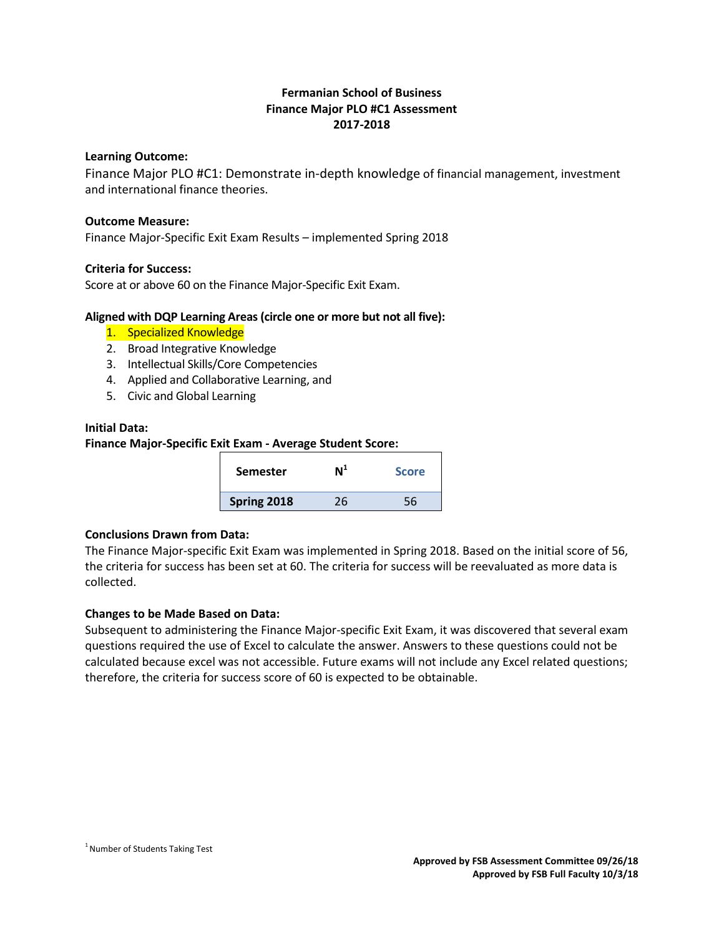# **Fermanian School of Business Finance Major PLO #C1 Assessment 2017-2018**

#### **Learning Outcome:**

Finance Major PLO #C1: Demonstrate in-depth knowledge of financial management, investment and international finance theories.

#### **Outcome Measure:**

Finance Major-Specific Exit Exam Results – implemented Spring 2018

#### **Criteria for Success:**

Score at or above 60 on the Finance Major-Specific Exit Exam.

#### **Aligned with DQP Learning Areas (circle one or more but not all five):**

- 1. Specialized Knowledge
- 2. Broad Integrative Knowledge
- 3. Intellectual Skills/Core Competencies
- 4. Applied and Collaborative Learning, and
- 5. Civic and Global Learning

#### **Initial Data:**

**Finance Major-Specific Exit Exam - Average Student Score:**

| <b>Semester</b> | $\mathsf{N}^1$ | <b>Score</b> |
|-----------------|----------------|--------------|
| Spring 2018     | 26             | 56           |
|                 |                |              |

# **Conclusions Drawn from Data:**

The Finance Major-specific Exit Exam was implemented in Spring 2018. Based on the initial score of 56, the criteria for success has been set at 60. The criteria for success will be reevaluated as more data is collected.

## **Changes to be Made Based on Data:**

Subsequent to administering the Finance Major-specific Exit Exam, it was discovered that several exam questions required the use of Excel to calculate the answer. Answers to these questions could not be calculated because excel was not accessible. Future exams will not include any Excel related questions; therefore, the criteria for success score of 60 is expected to be obtainable.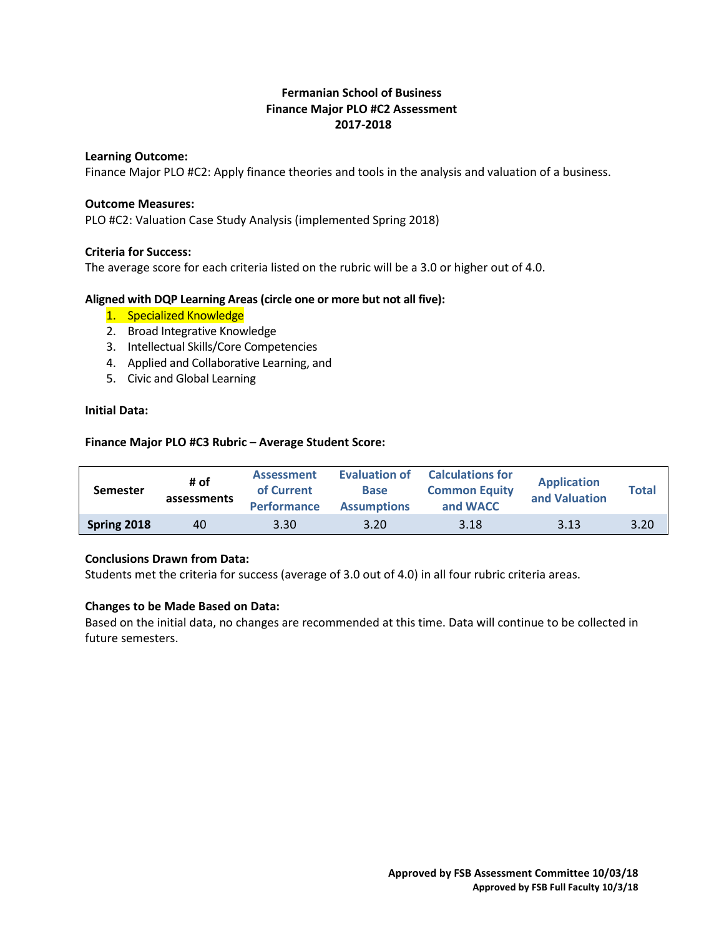# **Fermanian School of Business Finance Major PLO #C2 Assessment 2017-2018**

#### **Learning Outcome:**

Finance Major PLO #C2: Apply finance theories and tools in the analysis and valuation of a business.

#### **Outcome Measures:**

PLO #C2: Valuation Case Study Analysis (implemented Spring 2018)

#### **Criteria for Success:**

The average score for each criteria listed on the rubric will be a 3.0 or higher out of 4.0.

#### **Aligned with DQP Learning Areas (circle one or more but not all five):**

- 1. Specialized Knowledge
- 2. Broad Integrative Knowledge
- 3. Intellectual Skills/Core Competencies
- 4. Applied and Collaborative Learning, and
- 5. Civic and Global Learning

### **Initial Data:**

#### **Finance Major PLO #C3 Rubric – Average Student Score:**

| <b>Semester</b> | # of<br>assessments | <b>Assessment</b><br>of Current<br><b>Performance</b> | Evaluation of<br><b>Base</b><br><b>Assumptions</b> | <b>Calculations for</b><br><b>Common Equity</b><br>and WACC | <b>Application</b><br>and Valuation | <b>Total</b> |
|-----------------|---------------------|-------------------------------------------------------|----------------------------------------------------|-------------------------------------------------------------|-------------------------------------|--------------|
| Spring 2018     | 40                  | 3.30                                                  | 3.20                                               | 3.18                                                        | 3.13                                | 3.20         |

## **Conclusions Drawn from Data:**

Students met the criteria for success (average of 3.0 out of 4.0) in all four rubric criteria areas.

#### **Changes to be Made Based on Data:**

Based on the initial data, no changes are recommended at this time. Data will continue to be collected in future semesters.